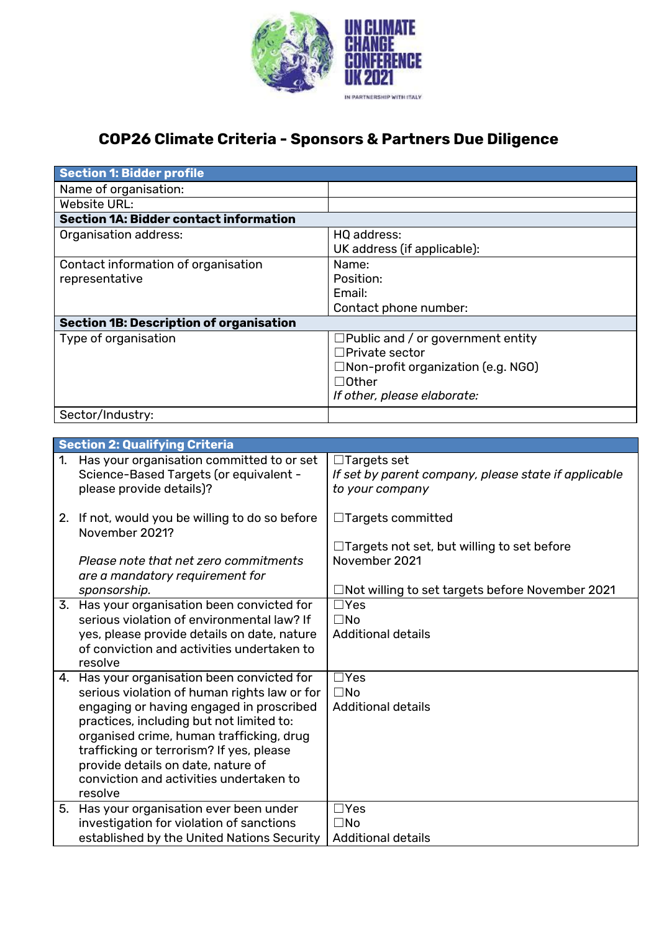

## **COP26 Climate Criteria - Sponsors & Partners Due Diligence**

**Section 1: Bidder profile**

|                                     | <b>SECTION I. DIUUCI PIUNIE</b>                                                   |                                                      |  |
|-------------------------------------|-----------------------------------------------------------------------------------|------------------------------------------------------|--|
| Name of organisation:               |                                                                                   |                                                      |  |
| <b>Website URL:</b>                 |                                                                                   |                                                      |  |
|                                     | <b>Section 1A: Bidder contact information</b>                                     |                                                      |  |
| Organisation address:               |                                                                                   | HQ address:                                          |  |
|                                     |                                                                                   | UK address (if applicable):                          |  |
| Contact information of organisation |                                                                                   | Name:                                                |  |
| representative                      |                                                                                   | Position:                                            |  |
|                                     |                                                                                   | Email:                                               |  |
|                                     |                                                                                   | Contact phone number:                                |  |
|                                     | <b>Section 1B: Description of organisation</b>                                    |                                                      |  |
| Type of organisation                |                                                                                   | $\Box$ Public and / or government entity             |  |
|                                     |                                                                                   | $\Box$ Private sector                                |  |
|                                     |                                                                                   | □Non-profit organization (e.g. NGO)                  |  |
|                                     |                                                                                   | $\Box$ Other                                         |  |
|                                     |                                                                                   | If other, please elaborate:                          |  |
|                                     | Sector/Industry:                                                                  |                                                      |  |
|                                     |                                                                                   |                                                      |  |
|                                     | <b>Section 2: Qualifying Criteria</b>                                             |                                                      |  |
| 1.                                  | Has your organisation committed to or set                                         | $\Box$ Targets set                                   |  |
|                                     | Science-Based Targets (or equivalent -                                            | If set by parent company, please state if applicable |  |
|                                     | please provide details)?                                                          | to your company                                      |  |
|                                     | 2. If not, would you be willing to do so before                                   | $\Box$ Targets committed                             |  |
|                                     | November 2021?                                                                    |                                                      |  |
|                                     |                                                                                   | $\Box$ Targets not set, but willing to set before    |  |
|                                     | Please note that net zero commitments                                             | November 2021                                        |  |
|                                     | are a mandatory requirement for                                                   |                                                      |  |
|                                     | sponsorship.                                                                      | □Not willing to set targets before November 2021     |  |
|                                     | 3. Has your organisation been convicted for                                       | $\Box$ Yes                                           |  |
|                                     | serious violation of environmental law? If                                        | $\square$ No                                         |  |
|                                     | yes, please provide details on date, nature                                       | <b>Additional details</b>                            |  |
|                                     | of conviction and activities undertaken to                                        |                                                      |  |
|                                     | resolve                                                                           |                                                      |  |
| 4.                                  | Has your organisation been convicted for                                          | $\Box$ Yes                                           |  |
|                                     | serious violation of human rights law or for                                      | $\square$ No                                         |  |
|                                     | engaging or having engaged in proscribed                                          | <b>Additional details</b>                            |  |
|                                     | practices, including but not limited to:                                          |                                                      |  |
|                                     | organised crime, human trafficking, drug                                          |                                                      |  |
|                                     | trafficking or terrorism? If yes, please                                          |                                                      |  |
|                                     | provide details on date, nature of                                                |                                                      |  |
|                                     | conviction and activities undertaken to<br>resolve                                |                                                      |  |
|                                     |                                                                                   | $\Box$ Yes                                           |  |
| 5.                                  | Has your organisation ever been under<br>investigation for violation of sanctions | $\square$ No                                         |  |
|                                     | established by the United Nations Security                                        | <b>Additional details</b>                            |  |
|                                     |                                                                                   |                                                      |  |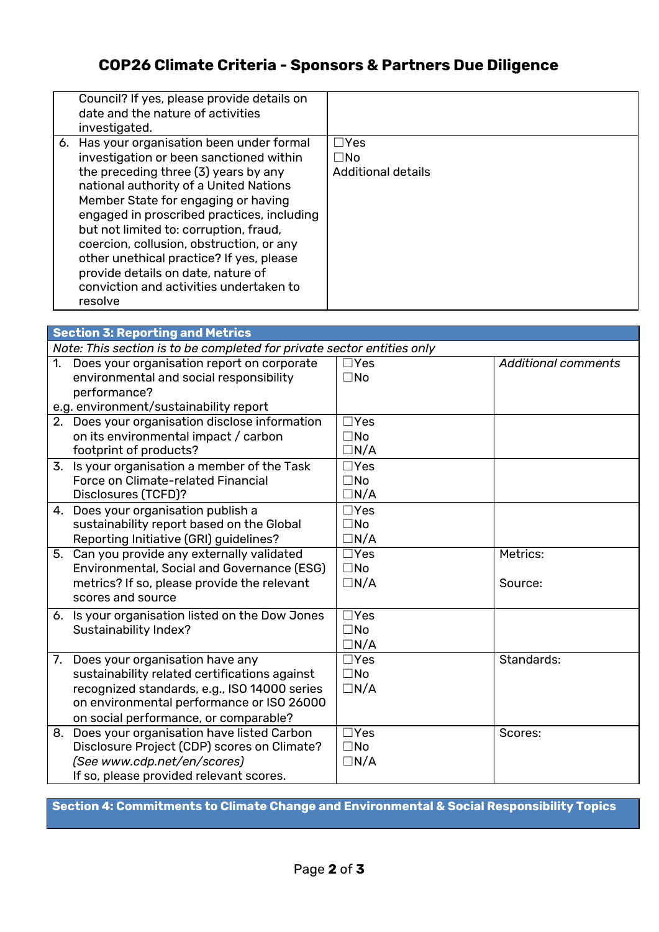## **COP26 Climate Criteria - Sponsors & Partners Due Diligence**

| Council? If yes, please provide details on<br>date and the nature of activities<br>investigated.                                                                                                                                                                                                                                                                                                                                                                                           |                                                           |
|--------------------------------------------------------------------------------------------------------------------------------------------------------------------------------------------------------------------------------------------------------------------------------------------------------------------------------------------------------------------------------------------------------------------------------------------------------------------------------------------|-----------------------------------------------------------|
| 6. Has your organisation been under formal<br>investigation or been sanctioned within<br>the preceding three (3) years by any<br>national authority of a United Nations<br>Member State for engaging or having<br>engaged in proscribed practices, including<br>but not limited to: corruption, fraud,<br>coercion, collusion, obstruction, or any<br>other unethical practice? If yes, please<br>provide details on date, nature of<br>conviction and activities undertaken to<br>resolve | $\sqcap$ Yes<br>$\square$ No<br><b>Additional details</b> |

|                                                                        | <b>Section 3: Reporting and Metrics</b>                                                                  |                            |                            |  |  |  |
|------------------------------------------------------------------------|----------------------------------------------------------------------------------------------------------|----------------------------|----------------------------|--|--|--|
| Note: This section is to be completed for private sector entities only |                                                                                                          |                            |                            |  |  |  |
|                                                                        | 1. Does your organisation report on corporate<br>environmental and social responsibility<br>performance? | $\Box$ Yes<br>$\square$ No | <b>Additional comments</b> |  |  |  |
|                                                                        | e.g. environment/sustainability report                                                                   |                            |                            |  |  |  |
|                                                                        | 2. Does your organisation disclose information                                                           | $\Box$ Yes                 |                            |  |  |  |
|                                                                        | on its environmental impact / carbon                                                                     | $\square$ No               |                            |  |  |  |
|                                                                        | footprint of products?                                                                                   | $\Box N/A$                 |                            |  |  |  |
|                                                                        | 3. Is your organisation a member of the Task                                                             | $\Box$ Yes                 |                            |  |  |  |
|                                                                        | Force on Climate-related Financial                                                                       | $\square$ No               |                            |  |  |  |
|                                                                        | Disclosures (TCFD)?                                                                                      | $\Box N/A$                 |                            |  |  |  |
|                                                                        | 4. Does your organisation publish a                                                                      | $\Box$ Yes                 |                            |  |  |  |
|                                                                        | sustainability report based on the Global                                                                | $\square$ No               |                            |  |  |  |
|                                                                        | Reporting Initiative (GRI) guidelines?                                                                   | $\Box N/A$                 |                            |  |  |  |
|                                                                        | 5. Can you provide any externally validated                                                              | $\Box$ Yes                 | Metrics:                   |  |  |  |
|                                                                        | Environmental, Social and Governance (ESG)                                                               | $\square$ No               |                            |  |  |  |
|                                                                        | metrics? If so, please provide the relevant                                                              | $\Box N/A$                 | Source:                    |  |  |  |
|                                                                        | scores and source                                                                                        |                            |                            |  |  |  |
|                                                                        | 6. Is your organisation listed on the Dow Jones                                                          | $\overline{\Box Y}$ es     |                            |  |  |  |
|                                                                        | <b>Sustainability Index?</b>                                                                             | $\square$ No               |                            |  |  |  |
|                                                                        |                                                                                                          | $\Box N/A$                 |                            |  |  |  |
|                                                                        | 7. Does your organisation have any                                                                       | $\Box$ Yes                 | Standards:                 |  |  |  |
|                                                                        | sustainability related certifications against                                                            | $\square$ No               |                            |  |  |  |
|                                                                        | recognized standards, e.g., ISO 14000 series                                                             | $\Box N/A$                 |                            |  |  |  |
|                                                                        | on environmental performance or ISO 26000                                                                |                            |                            |  |  |  |
|                                                                        | on social performance, or comparable?                                                                    |                            |                            |  |  |  |
|                                                                        | 8. Does your organisation have listed Carbon                                                             | $\Box$ Yes                 | Scores:                    |  |  |  |
|                                                                        | Disclosure Project (CDP) scores on Climate?                                                              | $\square$ No               |                            |  |  |  |
|                                                                        | (See www.cdp.net/en/scores)                                                                              | $\Box N/A$                 |                            |  |  |  |
|                                                                        | If so, please provided relevant scores.                                                                  |                            |                            |  |  |  |

**Section 4: Commitments to Climate Change and Environmental & Social Responsibility Topics**